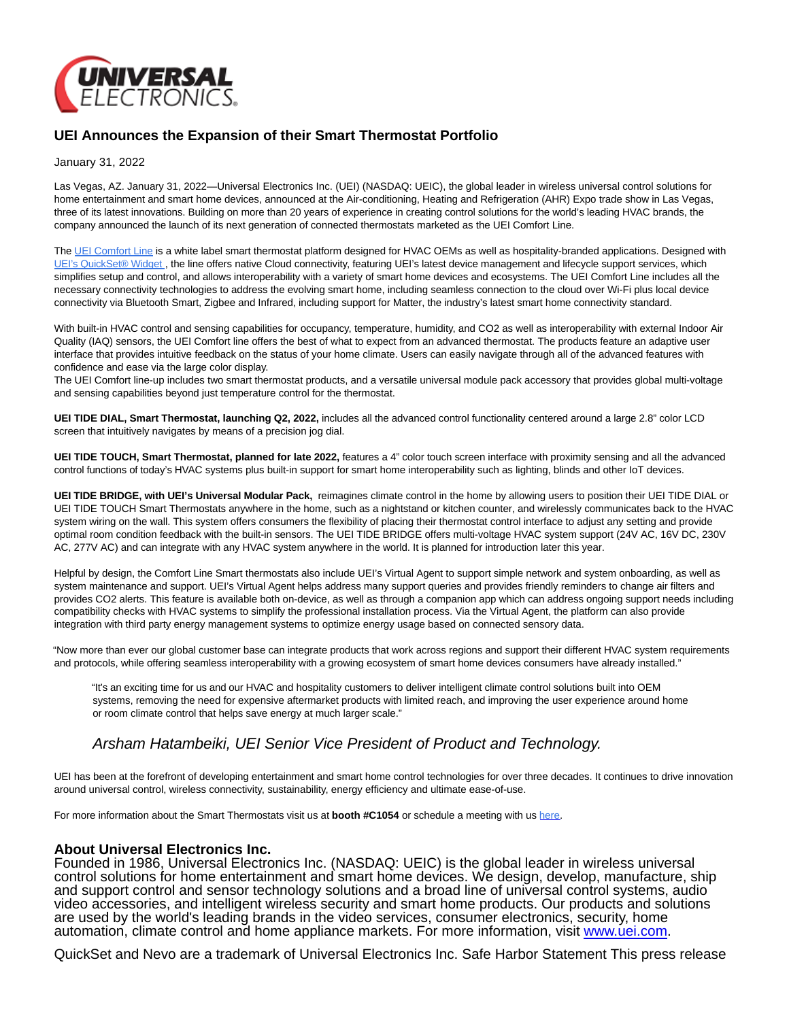

## **UEI Announces the Expansion of their Smart Thermostat Portfolio**

January 31, 2022

Las Vegas, AZ. January 31, 2022—Universal Electronics Inc. (UEI) (NASDAQ: UEIC), the global leader in wireless universal control solutions for home entertainment and smart home devices, announced at the Air-conditioning, Heating and Refrigeration (AHR) Expo trade show in Las Vegas, three of its latest innovations. Building on more than 20 years of experience in creating control solutions for the world's leading HVAC brands, the company announced the launch of its next generation of connected thermostats marketed as the UEI Comfort Line.

The [UEI Comfort Line i](https://universalelectronicsinc.gcs-web.com/climate-management)s a white label smart thermostat platform designed for HVAC OEMs as well as hospitality-branded applications. Designed with [UEI's QuickSet® Widget](https://universalelectronicsinc.gcs-web.com/quickset-cloud-and-services), the line offers native Cloud connectivity, featuring UEI's latest device management and lifecycle support services, which simplifies setup and control, and allows interoperability with a variety of smart home devices and ecosystems. The UEI Comfort Line includes all the necessary connectivity technologies to address the evolving smart home, including seamless connection to the cloud over Wi-Fi plus local device connectivity via Bluetooth Smart, Zigbee and Infrared, including support for Matter, the industry's latest smart home connectivity standard.

With built-in HVAC control and sensing capabilities for occupancy, temperature, humidity, and CO2 as well as interoperability with external Indoor Air Quality (IAQ) sensors, the UEI Comfort line offers the best of what to expect from an advanced thermostat. The products feature an adaptive user interface that provides intuitive feedback on the status of your home climate. Users can easily navigate through all of the advanced features with confidence and ease via the large color display.

The UEI Comfort line-up includes two smart thermostat products, and a versatile universal module pack accessory that provides global multi-voltage and sensing capabilities beyond just temperature control for the thermostat.

**UEI TIDE DIAL, Smart Thermostat, launching Q2, 2022,** includes all the advanced control functionality centered around a large 2.8" color LCD screen that intuitively navigates by means of a precision jog dial.

**UEI TIDE TOUCH, Smart Thermostat, planned for late 2022,** features a 4" color touch screen interface with proximity sensing and all the advanced control functions of today's HVAC systems plus built-in support for smart home interoperability such as lighting, blinds and other IoT devices.

**UEI TIDE BRIDGE, with UEI's Universal Modular Pack,** reimagines climate control in the home by allowing users to position their UEI TIDE DIAL or UEI TIDE TOUCH Smart Thermostats anywhere in the home, such as a nightstand or kitchen counter, and wirelessly communicates back to the HVAC system wiring on the wall. This system offers consumers the flexibility of placing their thermostat control interface to adjust any setting and provide optimal room condition feedback with the built-in sensors. The UEI TIDE BRIDGE offers multi-voltage HVAC system support (24V AC, 16V DC, 230V AC, 277V AC) and can integrate with any HVAC system anywhere in the world. It is planned for introduction later this year.

Helpful by design, the Comfort Line Smart thermostats also include UEI's Virtual Agent to support simple network and system onboarding, as well as system maintenance and support. UEI's Virtual Agent helps address many support queries and provides friendly reminders to change air filters and provides CO2 alerts. This feature is available both on-device, as well as through a companion app which can address ongoing support needs including compatibility checks with HVAC systems to simplify the professional installation process. Via the Virtual Agent, the platform can also provide integration with third party energy management systems to optimize energy usage based on connected sensory data.

"Now more than ever our global customer base can integrate products that work across regions and support their different HVAC system requirements and protocols, while offering seamless interoperability with a growing ecosystem of smart home devices consumers have already installed."

"It's an exciting time for us and our HVAC and hospitality customers to deliver intelligent climate control solutions built into OEM systems, removing the need for expensive aftermarket products with limited reach, and improving the user experience around home or room climate control that helps save energy at much larger scale."

## Arsham Hatambeiki, UEI Senior Vice President of Product and Technology.

UEI has been at the forefront of developing entertainment and smart home control technologies for over three decades. It continues to drive innovation around universal control, wireless connectivity, sustainability, energy efficiency and ultimate ease-of-use.

For more information about the Smart Thermostats visit us at **booth #C1054** or schedule a meeting with us [here.](https://universalelectronicsinc.gcs-web.com/events/ahr-2022)

## **About Universal Electronics Inc.**

Founded in 1986, Universal Electronics Inc. (NASDAQ: UEIC) is the global leader in wireless universal control solutions for home entertainment and smart home devices. We design, develop, manufacture, ship and support control and sensor technology solutions and a broad line of universal control systems, audio video accessories, and intelligent wireless security and smart home products. Our products and solutions are used by the world's leading brands in the video services, consumer electronics, security, home automation, climate control and home appliance markets. For more information, visit [www.uei.com.](https://universalelectronicsinc.gcs-web.com/www.uei.com)

QuickSet and Nevo are a trademark of Universal Electronics Inc. Safe Harbor Statement This press release